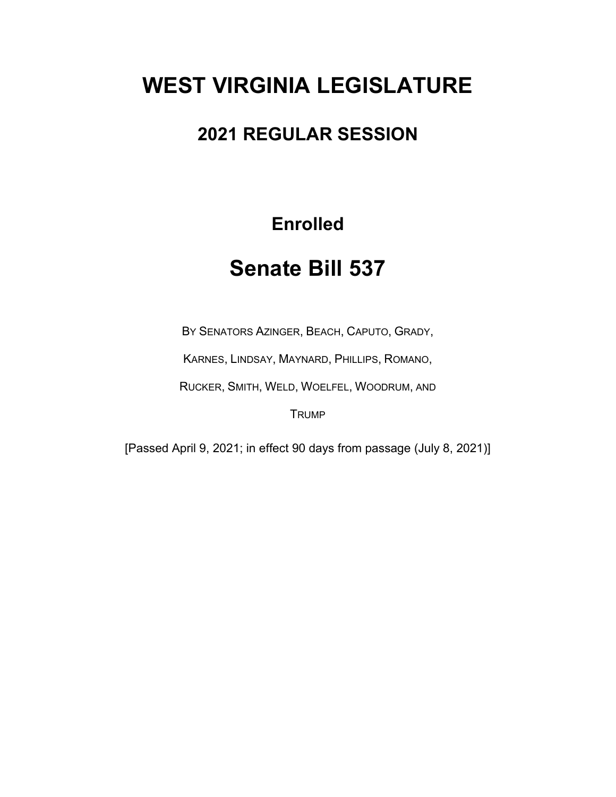# **WEST VIRGINIA LEGISLATURE**

### **2021 REGULAR SESSION**

## **Enrolled**

## **Senate Bill 537**

BY SENATORS AZINGER, BEACH, CAPUTO, GRADY,

KARNES, LINDSAY, MAYNARD, PHILLIPS, ROMANO,

RUCKER, SMITH, WELD, WOELFEL, WOODRUM, AND

**TRUMP** 

[Passed April 9, 2021; in effect 90 days from passage (July 8, 2021)]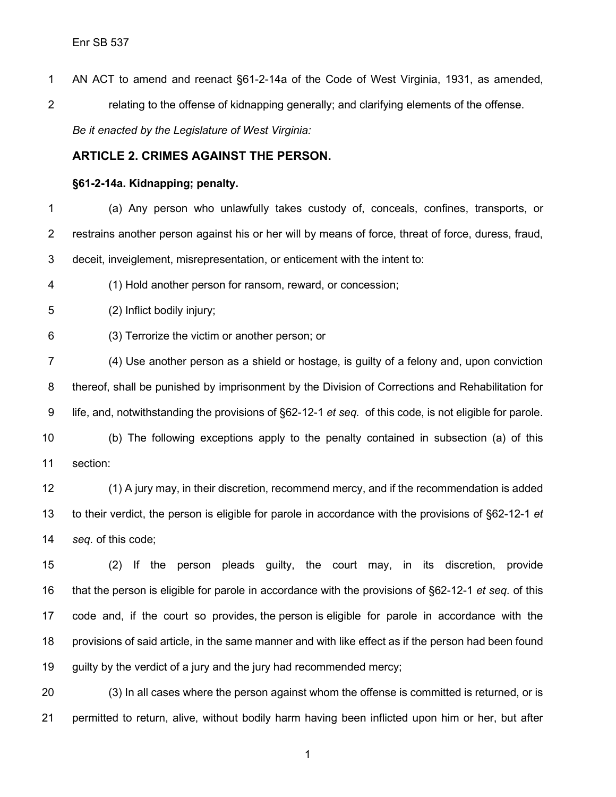AN ACT to amend and reenact §61-2-14a of the Code of West Virginia, 1931, as amended, relating to the offense of kidnapping generally; and clarifying elements of the offense. *Be it enacted by the Legislature of West Virginia:*

### **ARTICLE 2. CRIMES AGAINST THE PERSON.**

#### **§61-2-14a. Kidnapping; penalty.**

 (a) Any person who unlawfully takes custody of, conceals, confines, transports, or restrains another person against his or her will by means of force, threat of force, duress, fraud, deceit, inveiglement, misrepresentation, or enticement with the intent to:

(1) Hold another person for ransom, reward, or concession;

(2) Inflict bodily injury;

(3) Terrorize the victim or another person; or

 (4) Use another person as a shield or hostage, is guilty of a felony and, upon conviction thereof, shall be punished by imprisonment by the Division of Corrections and Rehabilitation for life, and, notwithstanding the provisions of §62-12-1 *et seq.* of this code, is not eligible for parole.

 (b) The following exceptions apply to the penalty contained in subsection (a) of this section:

 (1) A jury may, in their discretion, recommend mercy, and if the recommendation is added to their verdict, the person is eligible for parole in accordance with the provisions of §62-12-1 *et seq.* of this code;

 (2) If the person pleads guilty, the court may, in its discretion, provide that the person is eligible for parole in accordance with the provisions of §62-12-1 *et seq.* of this code and, if the court so provides, the person is eligible for parole in accordance with the provisions of said article, in the same manner and with like effect as if the person had been found guilty by the verdict of a jury and the jury had recommended mercy;

 (3) In all cases where the person against whom the offense is committed is returned, or is permitted to return, alive, without bodily harm having been inflicted upon him or her, but after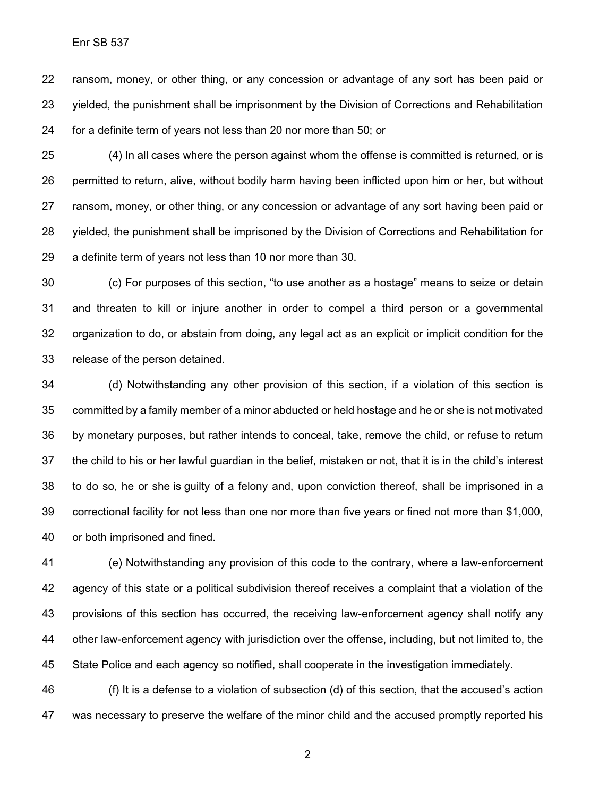ransom, money, or other thing, or any concession or advantage of any sort has been paid or yielded, the punishment shall be imprisonment by the Division of Corrections and Rehabilitation for a definite term of years not less than 20 nor more than 50; or

 (4) In all cases where the person against whom the offense is committed is returned, or is permitted to return, alive, without bodily harm having been inflicted upon him or her, but without ransom, money, or other thing, or any concession or advantage of any sort having been paid or yielded, the punishment shall be imprisoned by the Division of Corrections and Rehabilitation for a definite term of years not less than 10 nor more than 30.

 (c) For purposes of this section, "to use another as a hostage" means to seize or detain and threaten to kill or injure another in order to compel a third person or a governmental organization to do, or abstain from doing, any legal act as an explicit or implicit condition for the release of the person detained.

 (d) Notwithstanding any other provision of this section, if a violation of this section is committed by a family member of a minor abducted or held hostage and he or she is not motivated by monetary purposes, but rather intends to conceal, take, remove the child, or refuse to return the child to his or her lawful guardian in the belief, mistaken or not, that it is in the child's interest to do so, he or she is guilty of a felony and, upon conviction thereof, shall be imprisoned in a correctional facility for not less than one nor more than five years or fined not more than \$1,000, or both imprisoned and fined.

 (e) Notwithstanding any provision of this code to the contrary, where a law-enforcement agency of this state or a political subdivision thereof receives a complaint that a violation of the provisions of this section has occurred, the receiving law-enforcement agency shall notify any other law-enforcement agency with jurisdiction over the offense, including, but not limited to, the State Police and each agency so notified, shall cooperate in the investigation immediately.

 (f) It is a defense to a violation of subsection (d) of this section, that the accused's action was necessary to preserve the welfare of the minor child and the accused promptly reported his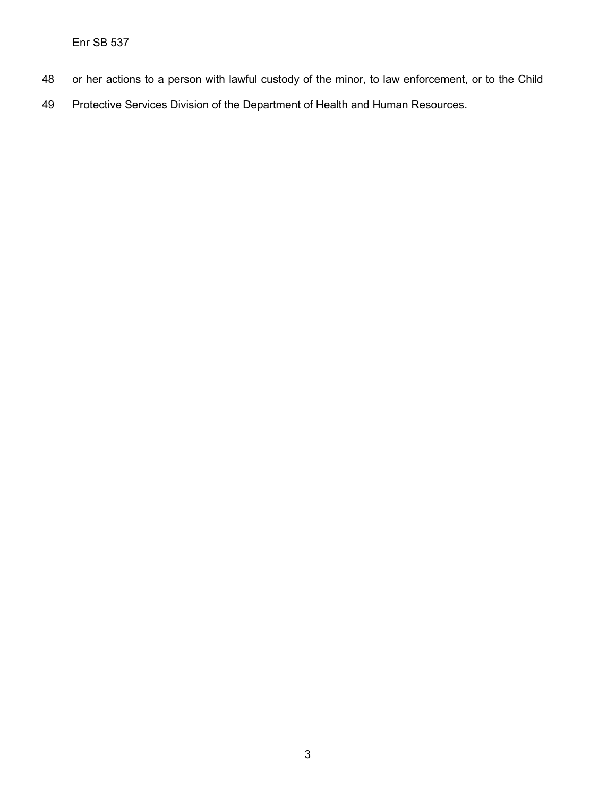Enr SB 537

- or her actions to a person with lawful custody of the minor, to law enforcement, or to the Child
- Protective Services Division of the Department of Health and Human Resources.